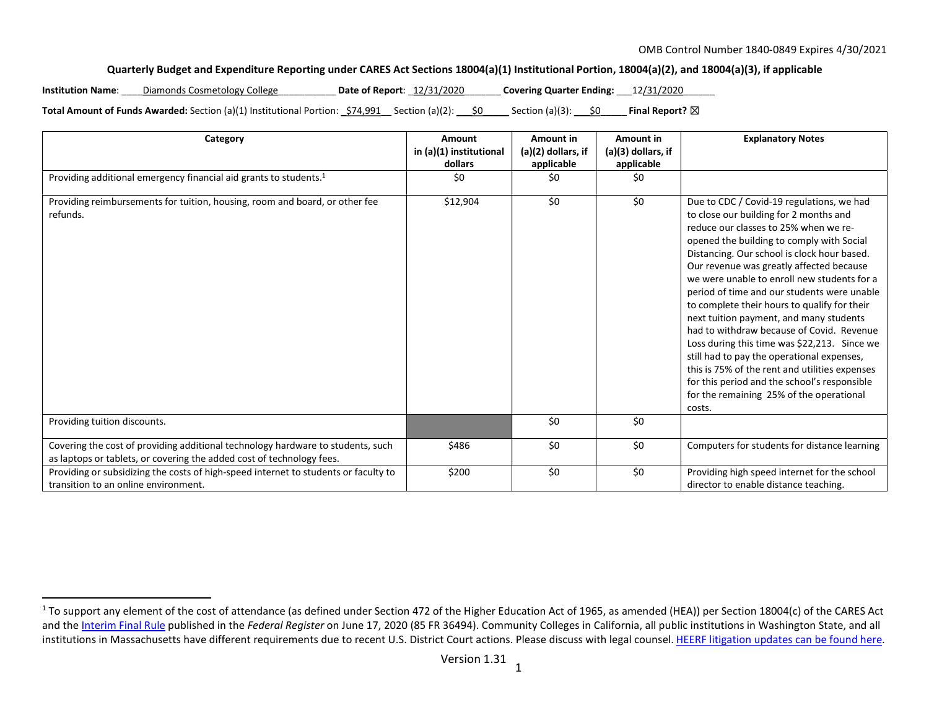## Quarterly Budget and Expenditure Reporting under CARES Act Sections 18004(a)(1) Institutional Portion, 18004(a)(2), and 18004(a)(3), if applicable

Institution Name: Diamonds Cosmetology College **Date of Report:**  12/31/2020 **Covering Quarter Ending:**  $12/31/2020$ 

Total Amount of Funds Awarded: Section (a)(1) Institutional Portion:  $\frac{574,991}{2}$  Section (a)(2):  $\frac{60}{2}$  Section (a)(3):  $\frac{60}{2}$  Final Report?  $\boxtimes$ 

| Category                                                                                                                                                 | Amount<br>in (a)(1) institutional | Amount in<br>$(a)(2)$ dollars, if | Amount in<br>$(a)(3)$ dollars, if | <b>Explanatory Notes</b>                                                                                                                                                                                                                                                                                                                                                                                                                                                                                                                                                                                                                                                                                                                                         |
|----------------------------------------------------------------------------------------------------------------------------------------------------------|-----------------------------------|-----------------------------------|-----------------------------------|------------------------------------------------------------------------------------------------------------------------------------------------------------------------------------------------------------------------------------------------------------------------------------------------------------------------------------------------------------------------------------------------------------------------------------------------------------------------------------------------------------------------------------------------------------------------------------------------------------------------------------------------------------------------------------------------------------------------------------------------------------------|
|                                                                                                                                                          | dollars                           | applicable                        | applicable                        |                                                                                                                                                                                                                                                                                                                                                                                                                                                                                                                                                                                                                                                                                                                                                                  |
| Providing additional emergency financial aid grants to students. <sup>1</sup>                                                                            | \$0                               | \$0                               | \$0                               |                                                                                                                                                                                                                                                                                                                                                                                                                                                                                                                                                                                                                                                                                                                                                                  |
| Providing reimbursements for tuition, housing, room and board, or other fee<br>refunds.                                                                  | \$12,904                          | \$0                               | \$0                               | Due to CDC / Covid-19 regulations, we had<br>to close our building for 2 months and<br>reduce our classes to 25% when we re-<br>opened the building to comply with Social<br>Distancing. Our school is clock hour based.<br>Our revenue was greatly affected because<br>we were unable to enroll new students for a<br>period of time and our students were unable<br>to complete their hours to qualify for their<br>next tuition payment, and many students<br>had to withdraw because of Covid. Revenue<br>Loss during this time was \$22,213. Since we<br>still had to pay the operational expenses,<br>this is 75% of the rent and utilities expenses<br>for this period and the school's responsible<br>for the remaining 25% of the operational<br>costs. |
| Providing tuition discounts.                                                                                                                             |                                   | \$0                               | \$0                               |                                                                                                                                                                                                                                                                                                                                                                                                                                                                                                                                                                                                                                                                                                                                                                  |
| Covering the cost of providing additional technology hardware to students, such<br>as laptops or tablets, or covering the added cost of technology fees. | \$486                             | \$0                               | \$0                               | Computers for students for distance learning                                                                                                                                                                                                                                                                                                                                                                                                                                                                                                                                                                                                                                                                                                                     |
| Providing or subsidizing the costs of high-speed internet to students or faculty to<br>transition to an online environment.                              | \$200                             | \$0                               | \$0                               | Providing high speed internet for the school<br>director to enable distance teaching.                                                                                                                                                                                                                                                                                                                                                                                                                                                                                                                                                                                                                                                                            |

<sup>&</sup>lt;sup>1</sup> To support any element of the cost of attendance (as defined under Section 472 of the Higher Education Act of 1965, as amended (HEA)) per Section 18004(c) of the CARES Act and the Interim Final Rule published in the Federal Register on June 17, 2020 (85 FR 36494). Community Colleges in California, all public institutions in Washington State, and all institutions in Massachusetts have different requirements due to recent U.S. District Court actions. Please discuss with legal counsel. HEERF litigation updates can be found here.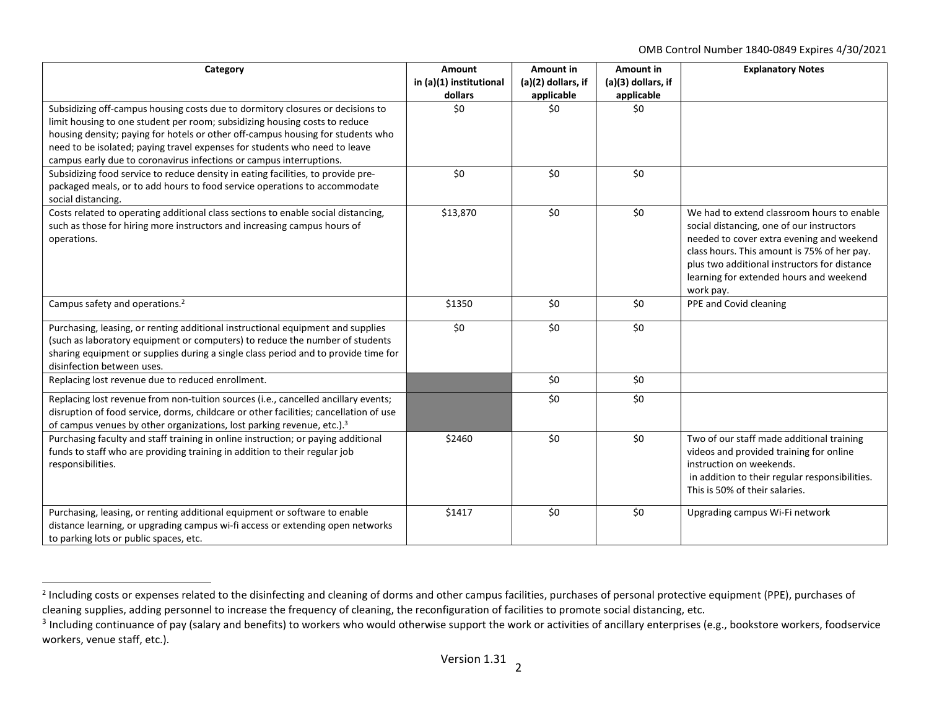OMB Control Number 1840-0849 Expires 4/30/2021

| Category                                                                                                                                                                                                                                                                                                                                                                                             | <b>Amount</b><br>in (a)(1) institutional<br>dollars | Amount in<br>(a)(2) dollars, if<br>applicable | Amount in<br>(a)(3) dollars, if<br>applicable | <b>Explanatory Notes</b>                                                                                                                                                                                                                                                                    |
|------------------------------------------------------------------------------------------------------------------------------------------------------------------------------------------------------------------------------------------------------------------------------------------------------------------------------------------------------------------------------------------------------|-----------------------------------------------------|-----------------------------------------------|-----------------------------------------------|---------------------------------------------------------------------------------------------------------------------------------------------------------------------------------------------------------------------------------------------------------------------------------------------|
| Subsidizing off-campus housing costs due to dormitory closures or decisions to<br>limit housing to one student per room; subsidizing housing costs to reduce<br>housing density; paying for hotels or other off-campus housing for students who<br>need to be isolated; paying travel expenses for students who need to leave<br>campus early due to coronavirus infections or campus interruptions. | \$0                                                 | \$0                                           | \$0                                           |                                                                                                                                                                                                                                                                                             |
| Subsidizing food service to reduce density in eating facilities, to provide pre-<br>packaged meals, or to add hours to food service operations to accommodate<br>social distancing.                                                                                                                                                                                                                  | \$0                                                 | \$0                                           | \$0                                           |                                                                                                                                                                                                                                                                                             |
| Costs related to operating additional class sections to enable social distancing,<br>such as those for hiring more instructors and increasing campus hours of<br>operations.                                                                                                                                                                                                                         | \$13,870                                            | \$0                                           | \$0                                           | We had to extend classroom hours to enable<br>social distancing, one of our instructors<br>needed to cover extra evening and weekend<br>class hours. This amount is 75% of her pay.<br>plus two additional instructors for distance<br>learning for extended hours and weekend<br>work pay. |
| Campus safety and operations. <sup>2</sup>                                                                                                                                                                                                                                                                                                                                                           | \$1350                                              | \$0                                           | \$0                                           | PPE and Covid cleaning                                                                                                                                                                                                                                                                      |
| Purchasing, leasing, or renting additional instructional equipment and supplies<br>(such as laboratory equipment or computers) to reduce the number of students<br>sharing equipment or supplies during a single class period and to provide time for<br>disinfection between uses.                                                                                                                  | \$0                                                 | \$0                                           | \$0                                           |                                                                                                                                                                                                                                                                                             |
| Replacing lost revenue due to reduced enrollment.                                                                                                                                                                                                                                                                                                                                                    |                                                     | \$0                                           | \$0                                           |                                                                                                                                                                                                                                                                                             |
| Replacing lost revenue from non-tuition sources (i.e., cancelled ancillary events;<br>disruption of food service, dorms, childcare or other facilities; cancellation of use<br>of campus venues by other organizations, lost parking revenue, etc.). <sup>3</sup>                                                                                                                                    |                                                     | \$0                                           | \$0                                           |                                                                                                                                                                                                                                                                                             |
| Purchasing faculty and staff training in online instruction; or paying additional<br>funds to staff who are providing training in addition to their regular job<br>responsibilities.                                                                                                                                                                                                                 | \$2460                                              | \$0                                           | \$0                                           | Two of our staff made additional training<br>videos and provided training for online<br>instruction on weekends.<br>in addition to their regular responsibilities.<br>This is 50% of their salaries.                                                                                        |
| Purchasing, leasing, or renting additional equipment or software to enable<br>distance learning, or upgrading campus wi-fi access or extending open networks<br>to parking lots or public spaces, etc.                                                                                                                                                                                               | \$1417                                              | \$0                                           | \$0                                           | Upgrading campus Wi-Fi network                                                                                                                                                                                                                                                              |

<sup>&</sup>lt;sup>2</sup> Including costs or expenses related to the disinfecting and cleaning of dorms and other campus facilities, purchases of personal protective equipment (PPE), purchases of cleaning supplies, adding personnel to increase the frequency of cleaning, the reconfiguration of facilities to promote social distancing, etc.

 $3$  Including continuance of pay (salary and benefits) to workers who would otherwise support the work or activities of ancillary enterprises (e.g., bookstore workers, foodservice workers, venue staff, etc.).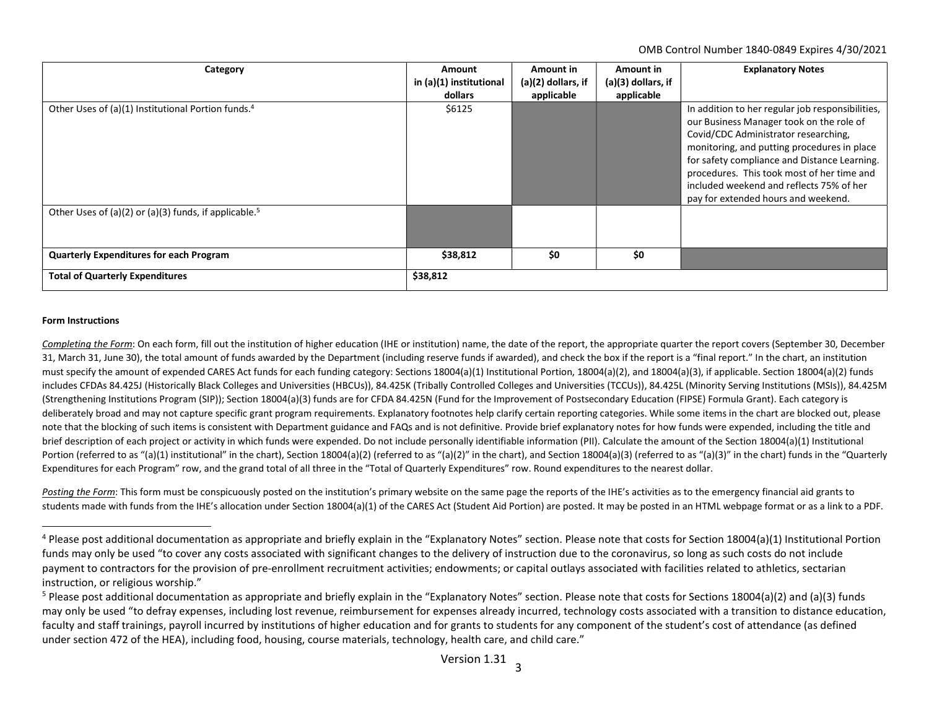OMB Control Number 1840-0849 Expires 4/30/2021

| Category                                                          | Amount<br>in (a)(1) institutional<br>dollars | Amount in<br>(a)(2) dollars, if<br>applicable | Amount in<br>$(a)(3)$ dollars, if<br>applicable | <b>Explanatory Notes</b>                                                                                                                                                                                                                                                                                                                                             |
|-------------------------------------------------------------------|----------------------------------------------|-----------------------------------------------|-------------------------------------------------|----------------------------------------------------------------------------------------------------------------------------------------------------------------------------------------------------------------------------------------------------------------------------------------------------------------------------------------------------------------------|
| Other Uses of (a)(1) Institutional Portion funds. <sup>4</sup>    | \$6125                                       |                                               |                                                 | In addition to her regular job responsibilities,<br>our Business Manager took on the role of<br>Covid/CDC Administrator researching,<br>monitoring, and putting procedures in place<br>for safety compliance and Distance Learning.<br>procedures. This took most of her time and<br>included weekend and reflects 75% of her<br>pay for extended hours and weekend. |
| Other Uses of (a)(2) or (a)(3) funds, if applicable. <sup>5</sup> |                                              |                                               |                                                 |                                                                                                                                                                                                                                                                                                                                                                      |
| <b>Quarterly Expenditures for each Program</b>                    | \$38,812                                     | \$0                                           | \$0                                             |                                                                                                                                                                                                                                                                                                                                                                      |
| <b>Total of Quarterly Expenditures</b>                            | \$38,812                                     |                                               |                                                 |                                                                                                                                                                                                                                                                                                                                                                      |

## Form Instructions

Completing the Form: On each form, fill out the institution of higher education (IHE or institution) name, the date of the report, the appropriate quarter the report covers (September 30, December 31, March 31, June 30), the total amount of funds awarded by the Department (including reserve funds if awarded), and check the box if the report is a "final report." In the chart, an institution must specify the amount of expended CARES Act funds for each funding category: Sections 18004(a)(1) Institutional Portion, 18004(a)(2), and 18004(a)(2), if applicable. Section 18004(a)(2) funds includes CFDAs 84.425J (Historically Black Colleges and Universities (HBCUs)), 84.425K (Tribally Controlled Colleges and Universities (TCCUs)), 84.425L (Minority Serving Institutions (MSIs)), 84.425M (Strengthening Institutions Program (SIP)); Section 18004(a)(3) funds are for CFDA 84.425N (Fund for the Improvement of Postsecondary Education (FIPSE) Formula Grant). Each category is deliberately broad and may not capture specific grant program requirements. Explanatory footnotes help clarify certain reporting categories. While some items in the chart are blocked out, please note that the blocking of such items is consistent with Department guidance and FAQs and is not definitive. Provide brief explanatory notes for how funds were expended, including the title and brief description of each project or activity in which funds were expended. Do not include personally identifiable information (PII). Calculate the amount of the Section 18004(a)(1) Institutional Portion (referred to as "(a)(1) institutional" in the chart), Section 18004(a)(2) (referred to as "(a)(2)" in the chart), and Section 18004(a)(3) (referred to as "(a)(3)" in the chart) funds in the "Quarterly Expenditures for each Program" row, and the grand total of all three in the "Total of Quarterly Expenditures" row. Round expenditures to the nearest dollar.

Posting the Form: This form must be conspicuously posted on the institution's primary website on the same page the reports of the IHE's activities as to the emergency financial aid grants to students made with funds from the IHE's allocation under Section 18004(a)(1) of the CARES Act (Student Aid Portion) are posted. It may be posted in an HTML webpage format or as a link to a PDF.

<sup>&</sup>lt;sup>4</sup> Please post additional documentation as appropriate and briefly explain in the "Explanatory Notes" section. Please note that costs for Section 18004(a)(1) Institutional Portion funds may only be used "to cover any costs associated with significant changes to the delivery of instruction due to the coronavirus, so long as such costs do not include payment to contractors for the provision of pre-enrollment recruitment activities; endowments; or capital outlays associated with facilities related to athletics, sectarian instruction, or religious worship."

<sup>&</sup>lt;sup>5</sup> Please post additional documentation as appropriate and briefly explain in the "Explanatory Notes" section. Please note that costs for Sections 18004(a)(2) and (a)(3) funds may only be used "to defray expenses, including lost revenue, reimbursement for expenses already incurred, technology costs associated with a transition to distance education, faculty and staff trainings, payroll incurred by institutions of higher education and for grants to students for any component of the student's cost of attendance (as defined under section 472 of the HEA), including food, housing, course materials, technology, health care, and child care."